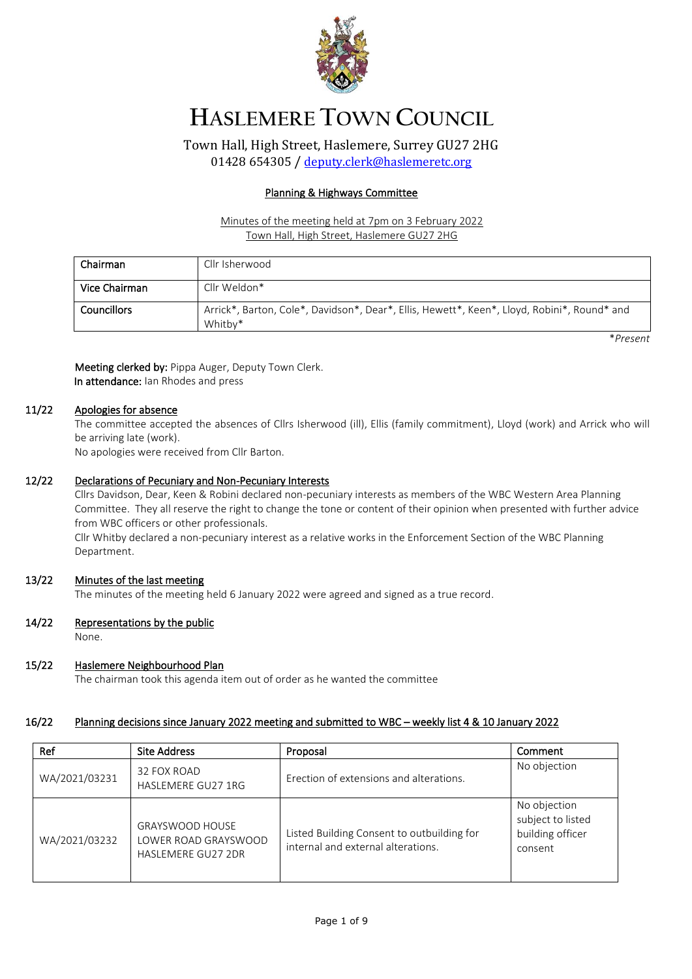

# **HASLEMERE TOWN COUNCIL**

Town Hall, High Street, Haslemere, Surrey GU27 2HG 01428 654305 / [deputy.clerk@haslemeretc.org](mailto:deputy.clerk@haslemeretc.org)

### Planning & Highways Committee

### Minutes of the meeting held at 7pm on 3 February 2022 Town Hall, High Street, Haslemere GU27 2HG

| Chairman      | Cllr Isherwood                                                                                         |
|---------------|--------------------------------------------------------------------------------------------------------|
| Vice Chairman | Cllr Weldon*                                                                                           |
| Councillors   | Arrick*, Barton, Cole*, Davidson*, Dear*, Ellis, Hewett*, Keen*, Lloyd, Robini*, Round* and<br>Whitby* |

\**Present*

Meeting clerked by: Pippa Auger, Deputy Town Clerk. In attendance: Ian Rhodes and press

# 11/22 Apologies for absence

The committee accepted the absences of Cllrs Isherwood (ill), Ellis (family commitment), Lloyd (work) and Arrick who will be arriving late (work).

No apologies were received from Cllr Barton.

#### 12/22 Declarations of Pecuniary and Non-Pecuniary Interests

Cllrs Davidson, Dear, Keen & Robini declared non-pecuniary interests as members of the WBC Western Area Planning Committee. They all reserve the right to change the tone or content of their opinion when presented with further advice from WBC officers or other professionals.

Cllr Whitby declared a non-pecuniary interest as a relative works in the Enforcement Section of the WBC Planning Department.

# 13/22 Minutes of the last meeting

The minutes of the meeting held 6 January 2022 were agreed and signed as a true record.

#### 14/22 Representations by the public

None.

#### 15/22 Haslemere Neighbourhood Plan

The chairman took this agenda item out of order as he wanted the committee

# 16/22 Planning decisions since January 2022 meeting and submitted to WBC – weekly list 4 & 10 January 2022

| Ref           | <b>Site Address</b>                                                         | Proposal                                                                         | Comment                                                          |
|---------------|-----------------------------------------------------------------------------|----------------------------------------------------------------------------------|------------------------------------------------------------------|
| WA/2021/03231 | 32 FOX ROAD<br>HASLEMERE GU27 1RG                                           | Erection of extensions and alterations.                                          | No objection                                                     |
| WA/2021/03232 | <b>GRAYSWOOD HOUSE</b><br>LOWER ROAD GRAYSWOOD<br><b>HASLEMERE GU27 2DR</b> | Listed Building Consent to outbuilding for<br>internal and external alterations. | No objection<br>subject to listed<br>building officer<br>consent |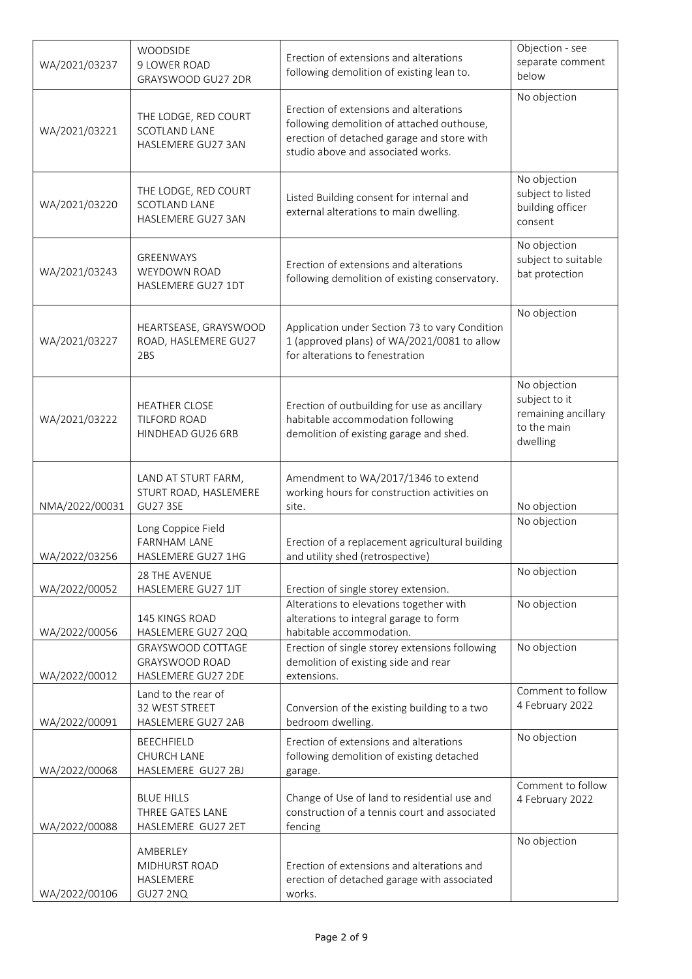| WA/2021/03237  | WOODSIDE<br>9 LOWER ROAD<br>GRAYSWOOD GU27 2DR                     | Erection of extensions and alterations<br>following demolition of existing lean to.                                                                                      | Objection - see<br>separate comment<br>below                                    |
|----------------|--------------------------------------------------------------------|--------------------------------------------------------------------------------------------------------------------------------------------------------------------------|---------------------------------------------------------------------------------|
| WA/2021/03221  | THE LODGE, RED COURT<br>SCOTLAND LANE<br>HASLEMERE GU27 3AN        | Erection of extensions and alterations<br>following demolition of attached outhouse,<br>erection of detached garage and store with<br>studio above and associated works. | No objection                                                                    |
| WA/2021/03220  | THE LODGE, RED COURT<br><b>SCOTLAND LANE</b><br>HASLEMERE GU27 3AN | Listed Building consent for internal and<br>external alterations to main dwelling.                                                                                       | No objection<br>subject to listed<br>building officer<br>consent                |
| WA/2021/03243  | <b>GREENWAYS</b><br>WEYDOWN ROAD<br>HASLEMERE GU27 1DT             | Erection of extensions and alterations<br>following demolition of existing conservatory.                                                                                 | No objection<br>subject to suitable<br>bat protection                           |
| WA/2021/03227  | HEARTSEASE, GRAYSWOOD<br>ROAD, HASLEMERE GU27<br>2BS               | Application under Section 73 to vary Condition<br>1 (approved plans) of WA/2021/0081 to allow<br>for alterations to fenestration                                         | No objection                                                                    |
| WA/2021/03222  | <b>HEATHER CLOSE</b><br>TILFORD ROAD<br>HINDHEAD GU26 6RB          | Erection of outbuilding for use as ancillary<br>habitable accommodation following<br>demolition of existing garage and shed.                                             | No objection<br>subject to it<br>remaining ancillary<br>to the main<br>dwelling |
| NMA/2022/00031 | LAND AT STURT FARM,<br>STURT ROAD, HASLEMERE<br><b>GU27 3SE</b>    | Amendment to WA/2017/1346 to extend<br>working hours for construction activities on<br>site.                                                                             | No objection                                                                    |
| WA/2022/03256  | Long Coppice Field<br><b>FARNHAM LANE</b><br>HASLEMERE GU27 1HG    | Erection of a replacement agricultural building<br>and utility shed (retrospective)                                                                                      | No objection                                                                    |
| WA/2022/00052  | 28 THE AVENUE<br>HASLEMERE GU27 1JT                                | Erection of single storey extension.                                                                                                                                     | No objection                                                                    |
| WA/2022/00056  | 145 KINGS ROAD<br>HASLEMERE GU27 2QQ                               | Alterations to elevations together with<br>alterations to integral garage to form<br>habitable accommodation.                                                            | No objection                                                                    |
| WA/2022/00012  | GRAYSWOOD COTTAGE<br><b>GRAYSWOOD ROAD</b><br>HASLEMERE GU27 2DE   | Erection of single storey extensions following<br>demolition of existing side and rear<br>extensions.                                                                    | No objection                                                                    |
| WA/2022/00091  | Land to the rear of<br>32 WEST STREET<br>HASLEMERE GU27 2AB        | Conversion of the existing building to a two<br>bedroom dwelling.                                                                                                        | Comment to follow<br>4 February 2022                                            |
| WA/2022/00068  | <b>BEECHFIELD</b><br>CHURCH LANE<br>HASLEMERE GU27 2BJ             | Erection of extensions and alterations<br>following demolition of existing detached<br>garage.                                                                           | No objection                                                                    |
| WA/2022/00088  | <b>BLUE HILLS</b><br>THREE GATES LANE<br>HASLEMERE GU27 2ET        | Change of Use of land to residential use and<br>construction of a tennis court and associated<br>fencing                                                                 | Comment to follow<br>4 February 2022                                            |
| WA/2022/00106  | AMBERLEY<br>MIDHURST ROAD<br>HASLEMERE<br><b>GU27 2NQ</b>          | Erection of extensions and alterations and<br>erection of detached garage with associated<br>works.                                                                      | No objection                                                                    |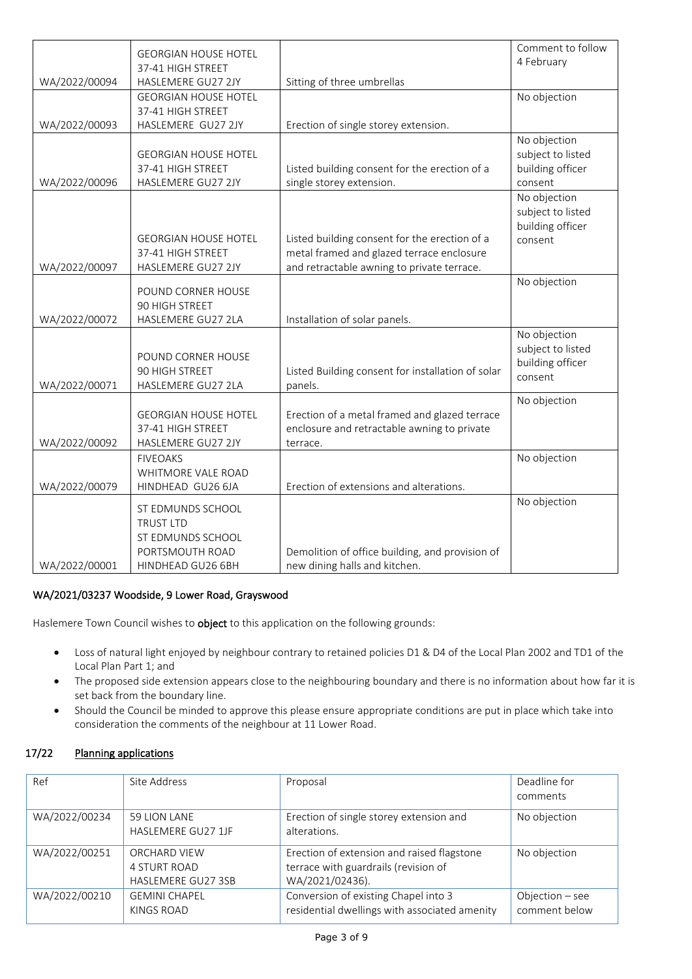|               | <b>GEORGIAN HOUSE HOTEL</b> |                                                   | Comment to follow                 |
|---------------|-----------------------------|---------------------------------------------------|-----------------------------------|
|               | 37-41 HIGH STREET           |                                                   | 4 February                        |
| WA/2022/00094 | HASLEMERE GU27 2JY          | Sitting of three umbrellas                        |                                   |
|               | <b>GEORGIAN HOUSE HOTEL</b> |                                                   | No objection                      |
|               | 37-41 HIGH STREET           |                                                   |                                   |
| WA/2022/00093 | HASLEMERE GU27 2JY          | Erection of single storey extension.              |                                   |
|               |                             |                                                   | No objection                      |
|               | <b>GEORGIAN HOUSE HOTEL</b> |                                                   | subject to listed                 |
|               | 37-41 HIGH STREET           | Listed building consent for the erection of a     | building officer                  |
| WA/2022/00096 | HASLEMERE GU27 2JY          | single storey extension.                          | consent                           |
|               |                             |                                                   | No objection<br>subject to listed |
|               |                             |                                                   | building officer                  |
|               | <b>GEORGIAN HOUSE HOTEL</b> | Listed building consent for the erection of a     | consent                           |
|               | 37-41 HIGH STREET           | metal framed and glazed terrace enclosure         |                                   |
| WA/2022/00097 | HASLEMERE GU27 2JY          | and retractable awning to private terrace.        |                                   |
|               |                             |                                                   | No objection                      |
|               | POUND CORNER HOUSE          |                                                   |                                   |
|               | 90 HIGH STREET              |                                                   |                                   |
| WA/2022/00072 | HASLEMERE GU27 2LA          | Installation of solar panels.                     |                                   |
|               |                             |                                                   | No objection<br>subject to listed |
|               | POUND CORNER HOUSE          |                                                   | building officer                  |
|               | 90 HIGH STREET              | Listed Building consent for installation of solar | consent                           |
| WA/2022/00071 | HASLEMERE GU27 2LA          | panels.                                           |                                   |
|               |                             |                                                   | No objection                      |
|               | <b>GEORGIAN HOUSE HOTEL</b> | Erection of a metal framed and glazed terrace     |                                   |
|               | 37-41 HIGH STREET           | enclosure and retractable awning to private       |                                   |
| WA/2022/00092 | HASLEMERE GU27 2JY          | terrace.                                          |                                   |
|               | <b>FIVEOAKS</b>             |                                                   | No objection                      |
|               | WHITMORE VALE ROAD          |                                                   |                                   |
| WA/2022/00079 | HINDHEAD GU26 6JA           | Erection of extensions and alterations.           |                                   |
|               | ST EDMUNDS SCHOOL           |                                                   | No objection                      |
|               | <b>TRUST LTD</b>            |                                                   |                                   |
|               | ST EDMUNDS SCHOOL           |                                                   |                                   |
|               | PORTSMOUTH ROAD             | Demolition of office building, and provision of   |                                   |
| WA/2022/00001 | HINDHEAD GU26 6BH           | new dining halls and kitchen.                     |                                   |

# WA/2021/03237 Woodside, 9 Lower Road, Grayswood

Haslemere Town Council wishes to **object** to this application on the following grounds:

- Loss of natural light enjoyed by neighbour contrary to retained policies D1 & D4 of the Local Plan 2002 and TD1 of the Local Plan Part 1; and
- The proposed side extension appears close to the neighbouring boundary and there is no information about how far it is set back from the boundary line.
- Should the Council be minded to approve this please ensure appropriate conditions are put in place which take into consideration the comments of the neighbour at 11 Lower Road.

# 17/22 Planning applications

| Ref           | Site Address         | Proposal                                      | Deadline for      |
|---------------|----------------------|-----------------------------------------------|-------------------|
|               |                      |                                               | comments          |
| WA/2022/00234 | 59 LION LANE         | Erection of single storey extension and       | No objection      |
|               | HASLEMERE GU27 1JF   | alterations.                                  |                   |
| WA/2022/00251 | ORCHARD VIEW         | Erection of extension and raised flagstone    | No objection      |
|               | <b>4 STURT ROAD</b>  | terrace with guardrails (revision of          |                   |
|               | HASLEMERE GU27 3SB   | WA/2021/02436).                               |                   |
| WA/2022/00210 | <b>GEMINI CHAPEL</b> | Conversion of existing Chapel into 3          | Objection $-$ see |
|               | KINGS ROAD           | residential dwellings with associated amenity | comment below     |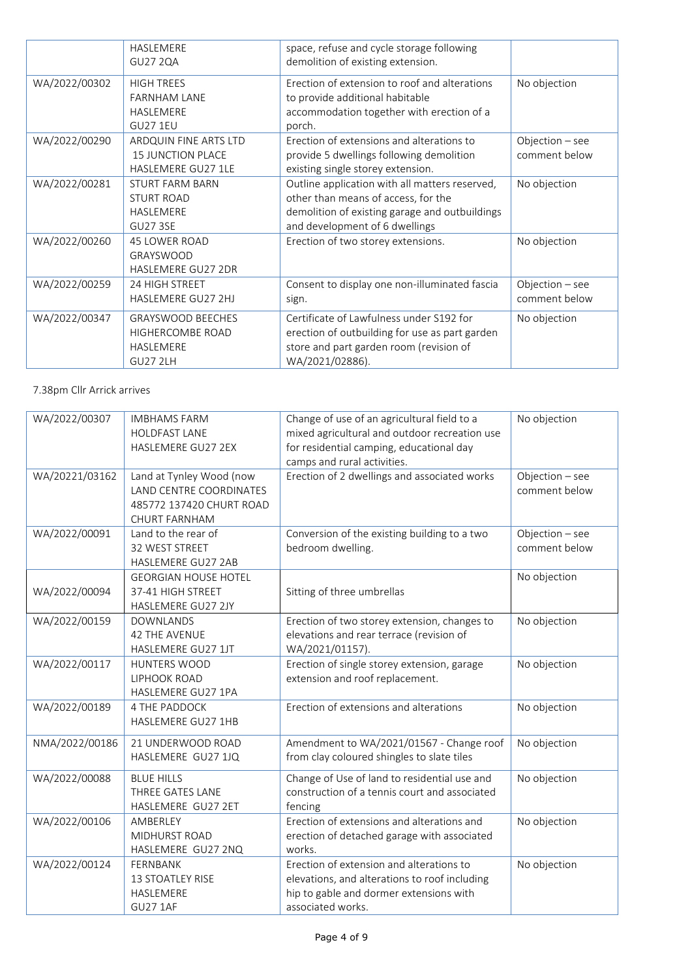|               | HASLEMERE<br><b>GU27 2QA</b>                                                    | space, refuse and cycle storage following<br>demolition of existing extension.                                                                                            |                                    |
|---------------|---------------------------------------------------------------------------------|---------------------------------------------------------------------------------------------------------------------------------------------------------------------------|------------------------------------|
| WA/2022/00302 | <b>HIGH TREES</b><br><b>FARNHAM LANE</b><br><b>HASLEMERE</b><br><b>GU27 1EU</b> | Erection of extension to roof and alterations<br>to provide additional habitable<br>accommodation together with erection of a<br>porch.                                   | No objection                       |
| WA/2022/00290 | ARDQUIN FINE ARTS LTD<br><b>15 JUNCTION PLACE</b><br>HASLEMERE GU27 1LE         | Erection of extensions and alterations to<br>provide 5 dwellings following demolition<br>existing single storey extension.                                                | Objection $-$ see<br>comment below |
| WA/2022/00281 | <b>STURT FARM BARN</b><br><b>STURT ROAD</b><br>HASLEMERE<br><b>GU27 3SE</b>     | Outline application with all matters reserved,<br>other than means of access, for the<br>demolition of existing garage and outbuildings<br>and development of 6 dwellings | No objection                       |
| WA/2022/00260 | <b>45 LOWER ROAD</b><br>GRAYSWOOD<br>HASLEMERE GU27 2DR                         | Erection of two storey extensions.                                                                                                                                        | No objection                       |
| WA/2022/00259 | 24 HIGH STREET<br><b>HASLEMERE GU27 2HJ</b>                                     | Consent to display one non-illuminated fascia<br>sign.                                                                                                                    | Objection $-$ see<br>comment below |
| WA/2022/00347 | <b>GRAYSWOOD BEECHES</b><br>HIGHERCOMBE ROAD<br>HASLEMERE<br><b>GU27 2LH</b>    | Certificate of Lawfulness under S192 for<br>erection of outbuilding for use as part garden<br>store and part garden room (revision of<br>WA/2021/02886).                  | No objection                       |

# 7.38pm Cllr Arrick arrives

| WA/2022/00307  | <b>IMBHAMS FARM</b><br><b>HOLDFAST LANE</b><br>HASLEMERE GU27 2EX                                       | Change of use of an agricultural field to a<br>mixed agricultural and outdoor recreation use<br>for residential camping, educational day<br>camps and rural activities. | No objection                     |
|----------------|---------------------------------------------------------------------------------------------------------|-------------------------------------------------------------------------------------------------------------------------------------------------------------------------|----------------------------------|
| WA/20221/03162 | Land at Tynley Wood (now<br>LAND CENTRE COORDINATES<br>485772 137420 CHURT ROAD<br><b>CHURT FARNHAM</b> | Erection of 2 dwellings and associated works                                                                                                                            | Objection - see<br>comment below |
| WA/2022/00091  | Land to the rear of<br>32 WEST STREET<br><b>HASLEMERE GU27 2AB</b>                                      | Conversion of the existing building to a two<br>bedroom dwelling.                                                                                                       | Objection - see<br>comment below |
| WA/2022/00094  | <b>GEORGIAN HOUSE HOTEL</b><br>37-41 HIGH STREET<br>HASLEMERE GU27 2JY                                  | Sitting of three umbrellas                                                                                                                                              | No objection                     |
| WA/2022/00159  | <b>DOWNLANDS</b><br><b>42 THE AVENUE</b><br>HASLEMERE GU27 1JT                                          | Erection of two storey extension, changes to<br>elevations and rear terrace (revision of<br>WA/2021/01157).                                                             | No objection                     |
| WA/2022/00117  | HUNTERS WOOD<br>LIPHOOK ROAD<br>HASLEMERE GU27 1PA                                                      | Erection of single storey extension, garage<br>extension and roof replacement.                                                                                          | No objection                     |
| WA/2022/00189  | <b>4 THE PADDOCK</b><br>HASLEMERE GU27 1HB                                                              | Erection of extensions and alterations                                                                                                                                  | No objection                     |
| NMA/2022/00186 | 21 UNDERWOOD ROAD<br>HASLEMERE GU27 1JQ                                                                 | Amendment to WA/2021/01567 - Change roof<br>from clay coloured shingles to slate tiles                                                                                  | No objection                     |
| WA/2022/00088  | <b>BLUE HILLS</b><br>THREE GATES LANE<br>HASLEMERE GU27 2ET                                             | Change of Use of land to residential use and<br>construction of a tennis court and associated<br>fencing                                                                | No objection                     |
| WA/2022/00106  | AMBERLEY<br>MIDHURST ROAD<br>HASLEMERE GU27 2NQ                                                         | Erection of extensions and alterations and<br>erection of detached garage with associated<br>works.                                                                     | No objection                     |
| WA/2022/00124  | FERNBANK<br>13 STOATLEY RISE<br>HASLEMERE<br><b>GU27 1AF</b>                                            | Erection of extension and alterations to<br>elevations, and alterations to roof including<br>hip to gable and dormer extensions with<br>associated works.               | No objection                     |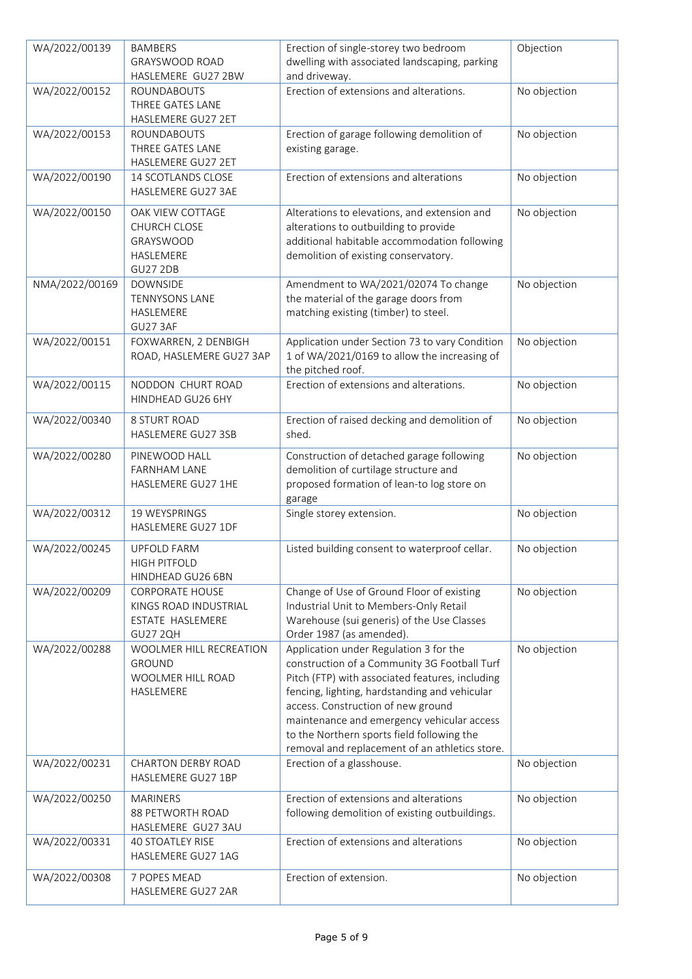| WA/2022/00139  | <b>BAMBERS</b>            | Erection of single-storey two bedroom           | Objection    |
|----------------|---------------------------|-------------------------------------------------|--------------|
|                | GRAYSWOOD ROAD            | dwelling with associated landscaping, parking   |              |
|                | HASLEMERE GU27 2BW        | and driveway.                                   |              |
| WA/2022/00152  | ROUNDABOUTS               | Erection of extensions and alterations.         | No objection |
|                | THREE GATES LANE          |                                                 |              |
|                | HASLEMERE GU27 2ET        |                                                 |              |
| WA/2022/00153  | ROUNDABOUTS               | Erection of garage following demolition of      | No objection |
|                | THREE GATES LANE          | existing garage.                                |              |
|                | HASLEMERE GU27 2ET        |                                                 |              |
| WA/2022/00190  | <b>14 SCOTLANDS CLOSE</b> | Erection of extensions and alterations          | No objection |
|                | HASLEMERE GU27 3AE        |                                                 |              |
|                |                           |                                                 |              |
| WA/2022/00150  | OAK VIEW COTTAGE          | Alterations to elevations, and extension and    | No objection |
|                | <b>CHURCH CLOSE</b>       | alterations to outbuilding to provide           |              |
|                | GRAYSWOOD                 | additional habitable accommodation following    |              |
|                | HASLEMERE                 | demolition of existing conservatory.            |              |
|                | <b>GU27 2DB</b>           |                                                 |              |
| NMA/2022/00169 | <b>DOWNSIDE</b>           | Amendment to WA/2021/02074 To change            | No objection |
|                | <b>TENNYSONS LANE</b>     | the material of the garage doors from           |              |
|                | HASLEMERE                 | matching existing (timber) to steel.            |              |
|                | GU27 3AF                  |                                                 |              |
| WA/2022/00151  | FOXWARREN, 2 DENBIGH      | Application under Section 73 to vary Condition  | No objection |
|                | ROAD, HASLEMERE GU27 3AP  | 1 of WA/2021/0169 to allow the increasing of    |              |
|                |                           | the pitched roof.                               |              |
| WA/2022/00115  | NODDON CHURT ROAD         | Erection of extensions and alterations.         | No objection |
|                | HINDHEAD GU26 6HY         |                                                 |              |
| WA/2022/00340  | 8 STURT ROAD              | Erection of raised decking and demolition of    | No objection |
|                | HASLEMERE GU27 3SB        | shed.                                           |              |
| WA/2022/00280  | PINEWOOD HALL             | Construction of detached garage following       | No objection |
|                | <b>FARNHAM LANE</b>       | demolition of curtilage structure and           |              |
|                | HASLEMERE GU27 1HE        | proposed formation of lean-to log store on      |              |
|                |                           | garage                                          |              |
| WA/2022/00312  | 19 WEYSPRINGS             | Single storey extension.                        | No objection |
|                | HASLEMERE GU27 1DF        |                                                 |              |
|                |                           |                                                 |              |
| WA/2022/00245  | <b>UPFOLD FARM</b>        | Listed building consent to waterproof cellar.   | No objection |
|                | <b>HIGH PITFOLD</b>       |                                                 |              |
|                | HINDHEAD GU26 6BN         |                                                 |              |
| WA/2022/00209  | <b>CORPORATE HOUSE</b>    | Change of Use of Ground Floor of existing       | No objection |
|                | KINGS ROAD INDUSTRIAL     | Industrial Unit to Members-Only Retail          |              |
|                | ESTATE HASLEMERE          | Warehouse (sui generis) of the Use Classes      |              |
|                | <b>GU27 2QH</b>           | Order 1987 (as amended).                        |              |
| WA/2022/00288  | WOOLMER HILL RECREATION   | Application under Regulation 3 for the          | No objection |
|                | <b>GROUND</b>             | construction of a Community 3G Football Turf    |              |
|                | <b>WOOLMER HILL ROAD</b>  | Pitch (FTP) with associated features, including |              |
|                | HASLEMERE                 | fencing, lighting, hardstanding and vehicular   |              |
|                |                           | access. Construction of new ground              |              |
|                |                           | maintenance and emergency vehicular access      |              |
|                |                           | to the Northern sports field following the      |              |
|                |                           | removal and replacement of an athletics store.  |              |
| WA/2022/00231  | <b>CHARTON DERBY ROAD</b> | Erection of a glasshouse.                       | No objection |
|                | HASLEMERE GU27 1BP        |                                                 |              |
| WA/2022/00250  | <b>MARINERS</b>           | Erection of extensions and alterations          | No objection |
|                | 88 PETWORTH ROAD          | following demolition of existing outbuildings.  |              |
|                | HASLEMERE GU27 3AU        |                                                 |              |
| WA/2022/00331  | <b>40 STOATLEY RISE</b>   | Erection of extensions and alterations          | No objection |
|                | HASLEMERE GU27 1AG        |                                                 |              |
| WA/2022/00308  | 7 POPES MEAD              | Erection of extension.                          | No objection |
|                | HASLEMERE GU27 2AR        |                                                 |              |
|                |                           |                                                 |              |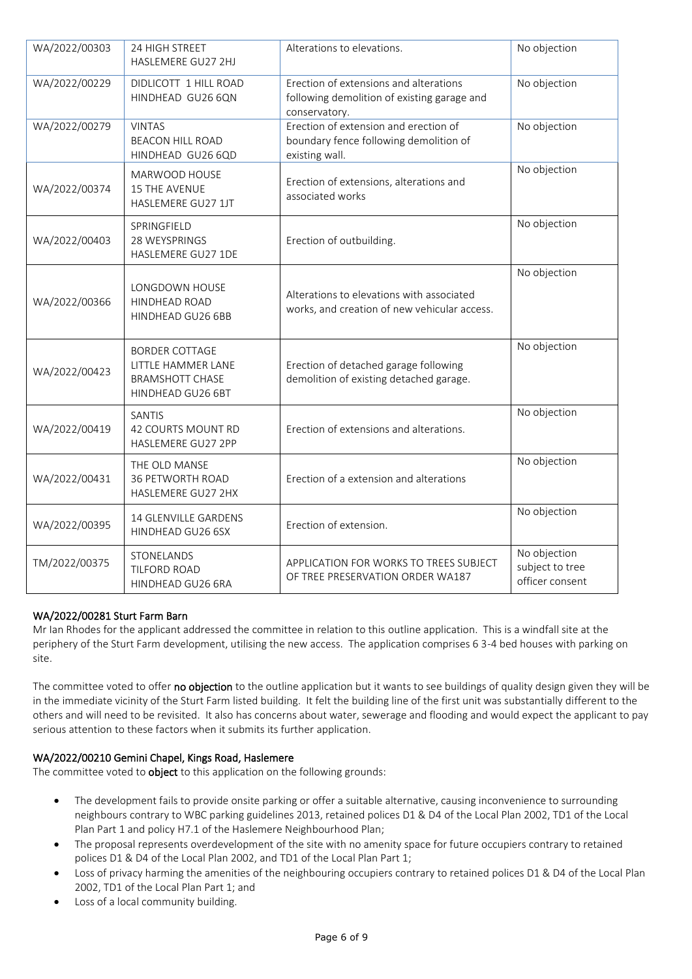| WA/2022/00303 | 24 HIGH STREET<br>HASLEMERE GU27 2HJ                                                       | Alterations to elevations.                                                                             | No objection                                       |
|---------------|--------------------------------------------------------------------------------------------|--------------------------------------------------------------------------------------------------------|----------------------------------------------------|
| WA/2022/00229 | DIDLICOTT 1 HILL ROAD<br>HINDHEAD GU26 6QN                                                 | Erection of extensions and alterations<br>following demolition of existing garage and<br>conservatory. | No objection                                       |
| WA/2022/00279 | <b>VINTAS</b><br><b>BEACON HILL ROAD</b><br>HINDHEAD GU26 6QD                              | Erection of extension and erection of<br>boundary fence following demolition of<br>existing wall.      | No objection                                       |
| WA/2022/00374 | MARWOOD HOUSE<br><b>15 THE AVENUE</b><br>HASLEMERE GU27 1JT                                | Erection of extensions, alterations and<br>associated works                                            | No objection                                       |
| WA/2022/00403 | SPRINGFIELD<br>28 WEYSPRINGS<br>HASLEMERE GU27 1DE                                         | Erection of outbuilding.                                                                               | No objection                                       |
| WA/2022/00366 | LONGDOWN HOUSE<br>HINDHEAD ROAD<br>HINDHEAD GU26 6BB                                       | Alterations to elevations with associated<br>works, and creation of new vehicular access.              | No objection                                       |
| WA/2022/00423 | <b>BORDER COTTAGE</b><br>LITTLE HAMMER LANE<br><b>BRAMSHOTT CHASE</b><br>HINDHEAD GU26 6BT | Erection of detached garage following<br>demolition of existing detached garage.                       | No objection                                       |
| WA/2022/00419 | <b>SANTIS</b><br>42 COURTS MOUNT RD<br>HASLEMERE GU27 2PP                                  | Erection of extensions and alterations.                                                                | No objection                                       |
| WA/2022/00431 | THE OLD MANSE<br>36 PETWORTH ROAD<br>HASLEMERE GU27 2HX                                    | Erection of a extension and alterations                                                                | No objection                                       |
| WA/2022/00395 | 14 GLENVILLE GARDENS<br>HINDHEAD GU26 6SX                                                  | Erection of extension.                                                                                 | No objection                                       |
| TM/2022/00375 | STONELANDS<br>TILFORD ROAD<br>HINDHEAD GU26 6RA                                            | APPLICATION FOR WORKS TO TREES SUBJECT<br>OF TREE PRESERVATION ORDER WA187                             | No objection<br>subject to tree<br>officer consent |

# WA/2022/00281 Sturt Farm Barn

Mr Ian Rhodes for the applicant addressed the committee in relation to this outline application. This is a windfall site at the periphery of the Sturt Farm development, utilising the new access. The application comprises 6 3-4 bed houses with parking on site.

The committee voted to offer no objection to the outline application but it wants to see buildings of quality design given they will be in the immediate vicinity of the Sturt Farm listed building. It felt the building line of the first unit was substantially different to the others and will need to be revisited. It also has concerns about water, sewerage and flooding and would expect the applicant to pay serious attention to these factors when it submits its further application.

# WA/2022/00210 Gemini Chapel, Kings Road, Haslemere

The committee voted to **object** to this application on the following grounds:

- The development fails to provide onsite parking or offer a suitable alternative, causing inconvenience to surrounding neighbours contrary to WBC parking guidelines 2013, retained polices D1 & D4 of the Local Plan 2002, TD1 of the Local Plan Part 1 and policy H7.1 of the Haslemere Neighbourhood Plan;
- The proposal represents overdevelopment of the site with no amenity space for future occupiers contrary to retained polices D1 & D4 of the Local Plan 2002, and TD1 of the Local Plan Part 1;
- Loss of privacy harming the amenities of the neighbouring occupiers contrary to retained polices D1 & D4 of the Local Plan 2002, TD1 of the Local Plan Part 1; and
- Loss of a local community building.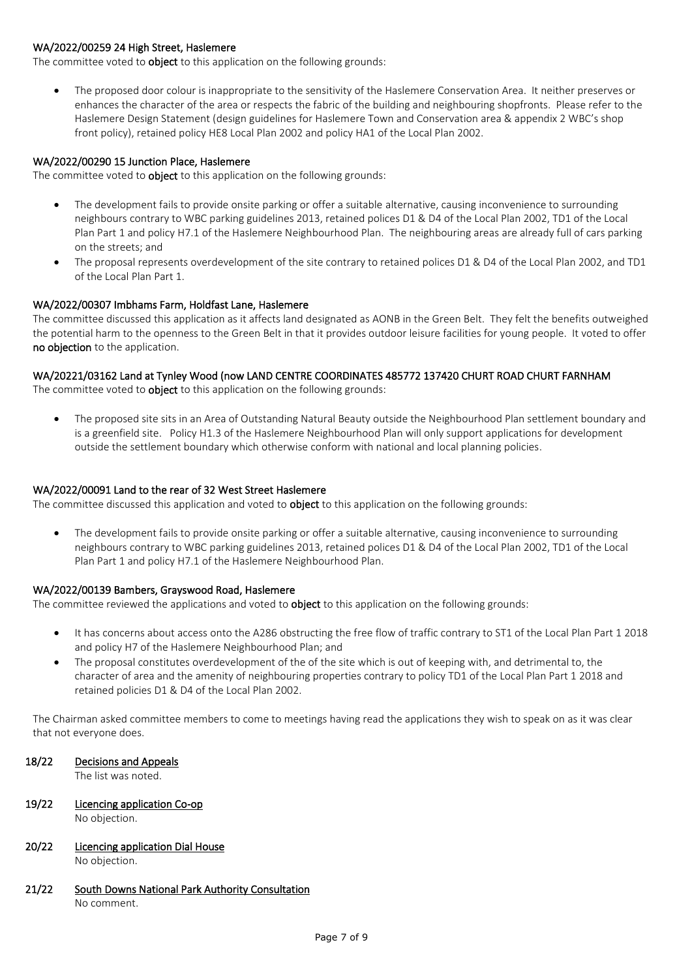# WA/2022/00259 24 High Street, Haslemere

The committee voted to **object** to this application on the following grounds:

• The proposed door colour is inappropriate to the sensitivity of the Haslemere Conservation Area. It neither preserves or enhances the character of the area or respects the fabric of the building and neighbouring shopfronts. Please refer to the Haslemere Design Statement (design guidelines for Haslemere Town and Conservation area & appendix 2 WBC's shop front policy), retained policy HE8 Local Plan 2002 and policy HA1 of the Local Plan 2002.

#### WA/2022/00290 15 Junction Place, Haslemere

The committee voted to **object** to this application on the following grounds:

- The development fails to provide onsite parking or offer a suitable alternative, causing inconvenience to surrounding neighbours contrary to WBC parking guidelines 2013, retained polices D1 & D4 of the Local Plan 2002, TD1 of the Local Plan Part 1 and policy H7.1 of the Haslemere Neighbourhood Plan. The neighbouring areas are already full of cars parking on the streets; and
- The proposal represents overdevelopment of the site contrary to retained polices D1 & D4 of the Local Plan 2002, and TD1 of the Local Plan Part 1.

# WA/2022/00307 Imbhams Farm, Holdfast Lane, Haslemere

The committee discussed this application as it affects land designated as AONB in the Green Belt. They felt the benefits outweighed the potential harm to the openness to the Green Belt in that it provides outdoor leisure facilities for young people. It voted to offer no objection to the application.

# WA/20221/03162 Land at Tynley Wood (now LAND CENTRE COORDINATES 485772 137420 CHURT ROAD CHURT FARNHAM

The committee voted to **object** to this application on the following grounds:

• The proposed site sits in an Area of Outstanding Natural Beauty outside the Neighbourhood Plan settlement boundary and is a greenfield site. Policy H1.3 of the Haslemere Neighbourhood Plan will only support applications for development outside the settlement boundary which otherwise conform with national and local planning policies.

# WA/2022/00091 Land to the rear of 32 West Street Haslemere

The committee discussed this application and voted to **object** to this application on the following grounds:

• The development fails to provide onsite parking or offer a suitable alternative, causing inconvenience to surrounding neighbours contrary to WBC parking guidelines 2013, retained polices D1 & D4 of the Local Plan 2002, TD1 of the Local Plan Part 1 and policy H7.1 of the Haslemere Neighbourhood Plan.

#### WA/2022/00139 Bambers, Grayswood Road, Haslemere

The committee reviewed the applications and voted to **object** to this application on the following grounds:

- It has concerns about access onto the A286 obstructing the free flow of traffic contrary to ST1 of the Local Plan Part 1 2018 and policy H7 of the Haslemere Neighbourhood Plan; and
- The proposal constitutes overdevelopment of the of the site which is out of keeping with, and detrimental to, the character of area and the amenity of neighbouring properties contrary to policy TD1 of the Local Plan Part 1 2018 and retained policies D1 & D4 of the Local Plan 2002.

The Chairman asked committee members to come to meetings having read the applications they wish to speak on as it was clear that not everyone does.

18/22 Decisions and Appeals

The list was noted.

- 19/22 Licencing application Co-op No objection.
- 20/22 Licencing application Dial House No objection.
- 21/22 South Downs National Park Authority Consultation No comment.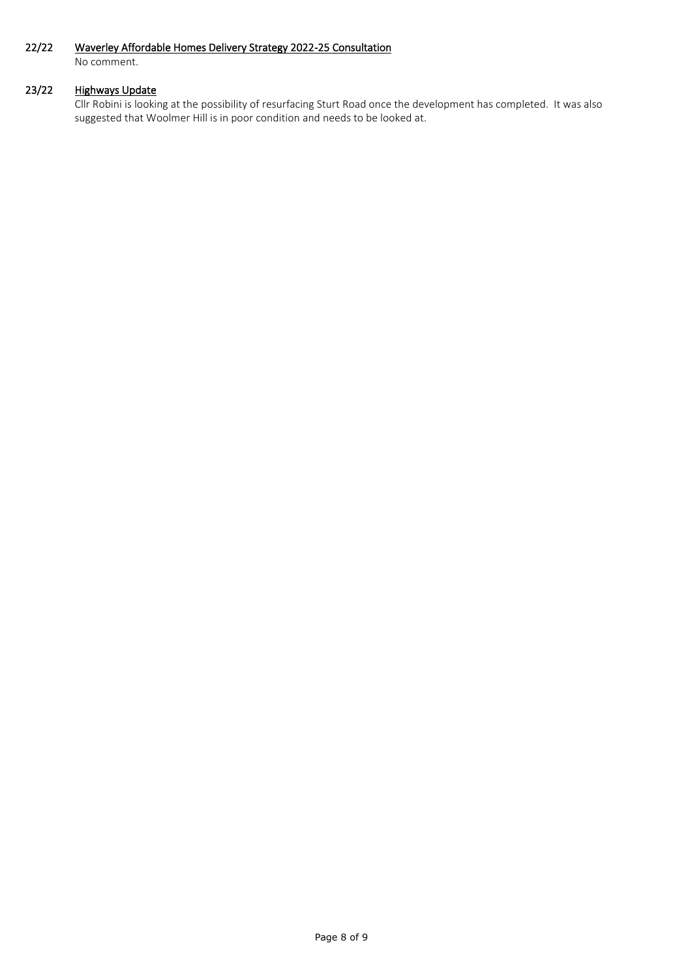# 22/22 Waverley Affordable Homes Delivery Strategy 2022-25 Consultation

No comment.

# 23/22 Highways Update

Cllr Robini is looking at the possibility of resurfacing Sturt Road once the development has completed. It was also suggested that Woolmer Hill is in poor condition and needs to be looked at.